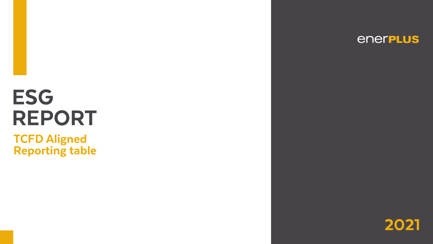# **ESG** REPORT **TCFD Aligned** Reporting table

# enerpLus

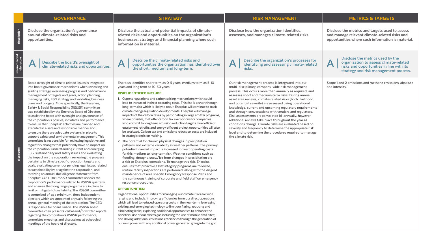description

မြီ

cription

bse the metrics and targets used to assess and manage relevant climate-related risks and opportunities where such information is material.

recommended

nded

**Disclose the metrics used by the organization to assess climate-related risks and opportunities in line with its strategy and risk management process.**

I and 2 emissions and methane emissions, absolute tensity.

disclosure

# **METRICS & TARGETS**

| <b>GOVERNANCE</b>                                                                                                                                                                                                                                                                                                                                                                                                                                                                                                                                                                                                                                                                                                                                                                                                                                                                                                                                                                                                                                                                                                                                                                                                                                                                                                                                                                                                                                                                                                                                                                                                                                                                                                                                                                                                                                                                                                                                                                | <b>STRATEGY</b>                                                                                                                                                                                                                                                                                                                                                                                                                                                                                                                                                                                                                                                                                                                                                                                                                                                                                                                                                                                                                                                                                                                                                                                                                                                                                                                                                                                                                                                                                                                                                                                                                                                                                                                                                                                                                                                                                                                                                                                                                                                                                                                                                                                      | <b>RISK MANAGEMENT</b>                                                                                                                                                                                                                                                                                                                                                                                                                                                                                                                                                                                                                                                                                                                                                                        |                                   |
|----------------------------------------------------------------------------------------------------------------------------------------------------------------------------------------------------------------------------------------------------------------------------------------------------------------------------------------------------------------------------------------------------------------------------------------------------------------------------------------------------------------------------------------------------------------------------------------------------------------------------------------------------------------------------------------------------------------------------------------------------------------------------------------------------------------------------------------------------------------------------------------------------------------------------------------------------------------------------------------------------------------------------------------------------------------------------------------------------------------------------------------------------------------------------------------------------------------------------------------------------------------------------------------------------------------------------------------------------------------------------------------------------------------------------------------------------------------------------------------------------------------------------------------------------------------------------------------------------------------------------------------------------------------------------------------------------------------------------------------------------------------------------------------------------------------------------------------------------------------------------------------------------------------------------------------------------------------------------------|------------------------------------------------------------------------------------------------------------------------------------------------------------------------------------------------------------------------------------------------------------------------------------------------------------------------------------------------------------------------------------------------------------------------------------------------------------------------------------------------------------------------------------------------------------------------------------------------------------------------------------------------------------------------------------------------------------------------------------------------------------------------------------------------------------------------------------------------------------------------------------------------------------------------------------------------------------------------------------------------------------------------------------------------------------------------------------------------------------------------------------------------------------------------------------------------------------------------------------------------------------------------------------------------------------------------------------------------------------------------------------------------------------------------------------------------------------------------------------------------------------------------------------------------------------------------------------------------------------------------------------------------------------------------------------------------------------------------------------------------------------------------------------------------------------------------------------------------------------------------------------------------------------------------------------------------------------------------------------------------------------------------------------------------------------------------------------------------------------------------------------------------------------------------------------------------------|-----------------------------------------------------------------------------------------------------------------------------------------------------------------------------------------------------------------------------------------------------------------------------------------------------------------------------------------------------------------------------------------------------------------------------------------------------------------------------------------------------------------------------------------------------------------------------------------------------------------------------------------------------------------------------------------------------------------------------------------------------------------------------------------------|-----------------------------------|
| Disclose the organization's governance<br>around climate-related risks and<br>opportunities.                                                                                                                                                                                                                                                                                                                                                                                                                                                                                                                                                                                                                                                                                                                                                                                                                                                                                                                                                                                                                                                                                                                                                                                                                                                                                                                                                                                                                                                                                                                                                                                                                                                                                                                                                                                                                                                                                     | Disclose the actual and potential impacts of climate-<br>related risks and opportunities on the organization's<br>businesses, strategy and financial planning where such<br>information is material.                                                                                                                                                                                                                                                                                                                                                                                                                                                                                                                                                                                                                                                                                                                                                                                                                                                                                                                                                                                                                                                                                                                                                                                                                                                                                                                                                                                                                                                                                                                                                                                                                                                                                                                                                                                                                                                                                                                                                                                                 | Disclose how the organization identifies,<br>assesses, and manages climate-related risks.                                                                                                                                                                                                                                                                                                                                                                                                                                                                                                                                                                                                                                                                                                     | <b>Disclos</b><br>and m<br>opport |
| Describe the board's oversight of<br>climate-related risks and opportunities.                                                                                                                                                                                                                                                                                                                                                                                                                                                                                                                                                                                                                                                                                                                                                                                                                                                                                                                                                                                                                                                                                                                                                                                                                                                                                                                                                                                                                                                                                                                                                                                                                                                                                                                                                                                                                                                                                                    | Describe the climate-related risks and<br>A<br>opportunities the organization has identified over<br>the short, medium and long-term.                                                                                                                                                                                                                                                                                                                                                                                                                                                                                                                                                                                                                                                                                                                                                                                                                                                                                                                                                                                                                                                                                                                                                                                                                                                                                                                                                                                                                                                                                                                                                                                                                                                                                                                                                                                                                                                                                                                                                                                                                                                                | Describe the organization's processes for<br>$\blacktriangle$<br>identifying and assessing climate-related<br>risks.                                                                                                                                                                                                                                                                                                                                                                                                                                                                                                                                                                                                                                                                          | $\mathsf{A}\,\vert$               |
| Board oversight of climate related issues is integrated<br>into board governance mechanisms when reviewing and<br>guiding strategy, overseeing progress and performance<br>management of targets and goals, action planning,<br>managing risks, ESG strategy and validating business<br>plans and budgets. More specifically, the Reserves,<br>Safety & Social Responsibility (RS&SR) committee<br>was established by the Enerplus Board of Directors<br>to assist the board with oversight and governance of<br>the corporation's policies, initiatives and performance<br>to ensure that Enerplus' activities are planned and<br>executed in a safe and responsible manner and<br>to ensure there are adequate systems in place to<br>support safety and environmental management. This<br>committee is responsible for: reviewing legislative and<br>regulatory changes that potentially have an impact on<br>the corporation; understanding current and emerging<br>ESG, sustainability and safety issues and evaluating<br>the impact on the corporation; reviewing the progress<br>pertaining to climate specific reduction targets and<br>goals; evaluating current or pending legal issues related<br>to sustainability by or against the corporation; and<br>receiving an annual due diligence statement from<br>Enerplus' COO. The RS&SR committee reviews the<br>corporation's performance related to RS&SR quarterly<br>and ensures that long range programs are in place to<br>limit or mitigate future liability. The RS&SR committee<br>is comprised of, at a minimum, three independent<br>directors which are appointed annually following the<br>annual general meeting of the corporation. The CEO<br>is responsible for board liaison. The RS&SR board<br>committee chair presents verbal and/or written reports<br>regarding the corporation's RS&SR performance,<br>committee meetings and discussions at scheduled<br>meetings of the board of directors. | Enerplus identifies short term as 0-5 years, medium term as 5-10<br>years and long term as 10-30 years.<br><b>RISKS IDENTIFIED INCLUDE:</b><br>1. Current regulations and carbon pricing mechanisms which could<br>lead to increased indirect operating costs. This risk is a short through<br>long-term risk which is likely to occur. Enerplus will continue to track<br>climate change legislation developments. Enerplus will manage<br>impacts of the carbon taxes by participating in large emitter programs,<br>where possible, that offer carbon tax exemptions for companies<br>who commit to long term emission reduction targets. Fuel efficient<br>equipment retrofits and energy efficient project opportunities will also<br>be analyzed. Carbon tax and emissions reduction costs are included<br>in strategic decision making.<br>2. The potential for chronic physical changes in precipitation<br>patterns and extreme variability in weather patterns. The primary<br>potential financial impact is increased indirect operating costs<br>for this medium to long-term risk. Weather conditions such as<br>flooding, drought, snow/ice from changes in precipitation are<br>a risk to Enerplus' operations. To manage this risk, Enerplus<br>ensures that proactive asset integrity programs are followed,<br>routine facility inspections are performed, along with the diligent<br>maintenance of area specific Emergency Response Plans and<br>the continuous training of corporate and field staff on emergency<br>response procedures.<br><b>OPPORTUNITIES:</b><br>Organizational opportunities for managing our climate risks are wide<br>ranging and include: improving efficiencies from our direct operations<br>which will lead to reduced operating costs in the near-term; leveraging<br>existing and emerging technology to limit our flaring; reducing and<br>eliminating leaks; exploring additional opportunities to enhance the<br>beneficial use of our excess gas including the use of mobile data sites;<br>and driving additional emissions efficiencies through the generation of<br>our own power with any additional power generated going into the grid. | Our risk management process is integrated into our<br>multi-disciplinary, company-wide risk management<br>process. This occurs more than annually as required, and<br>assesses short and medium-term risks. During annual<br>asset area reviews, climate-related risks (both likelihood<br>and potential severity) are assessed using operational<br>knowledge, current and upcoming regulatory requirements<br>and through conversations with vendors and regulators.<br>Risk assessments are completed bi-annually, however<br>additional reviews take place throughout the year as<br>conditions change. Climate risks are evaluated based on<br>severity and frequency to determine the appropriate risk<br>level and to determine the procedures required to manage<br>the climate risk. | Scope 1<br>and inte               |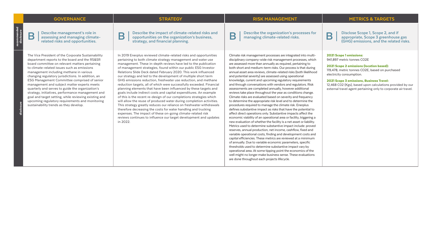# GOVERNANCE STRATEGY RISK MANAGEMENT METRICS & TARGETS

recommended disclosure

**B** |

**B** | **Describe the impact of climate-related risks and opportunities on the organization's business, strategy, and financial planning.**

Describe the organization's processes for<br> **B** <br> **B** <br> **B** <br> **B** <br> **B** <br> **B** <br> **B** <br> **B** <br> **B** <br> **B** <br> **B** <br> **B** <br> **B** <br> **B** <br> **B** <br> **B** <br> **B** <br> **B** <br> **B** <br> **B** <br> **B** <br> **B** <br> **B** <br> **B** <br> **B** <br> **B** <br> **B** <br> **B** <br> **B** <br> **B** <br> **appropriate, Scope 3 greenhouse gas (GHG) emissions, and the related risks.**

**B** |

The Vice President of the Corporate Sustainability department reports to the board and the RS&SR board committee on relevant matters pertaining to climate-related issues such as emissions management including methane in various changing regulatory jurisdictions. In addition, an ESG Management Committee comprised of senior management and subject matter experts meets quarterly and serves to guide the organization's strategy, initiatives, performance management and goal and target setting, while reviewing existing and upcoming regulatory requirements and monitoring sustainability trends as they develop.

In 2019 Enerplus reviewed climate-related risks and opportunities pertaining to both climate strategy management and water use management. These in-depth reviews have led to the publication of management strategies, found within our public ESG Investor Relations Slide Deck dated February 2020. This work influenced our strategy and led to the development of multiple short term GHG emissions reduction, freshwater use reduction, and methane reduction targets, all of which were successfully exceeded. Financial planning elements that have been influenced by these targets and goals include indirect costs and capital expenditures. An example of this is the recent re-design of our completions strategies which will allow the reuse of produced water during completion activities. This strategy greatly reduces our reliance on freshwater withdrawals therefore decreasing the costs for water handling and trucking expenses. The impact of these on-going climate-related risk reviews continues to influence our target development and updates in 2022.

Climate risk management processes are integrated into multidisciplinary company-wide risk management processes, which are assessed more than annually as required, pertaining to both short and medium-term risks. Our process is that during annual asset area reviews, climate-related risks (both likelihood and potential severity) are assessed using operational knowledge, current and upcoming regulatory requirements and through conversations with vendors and regulators. Risk assessments are completed annually, however additional reviews take place throughout the year as conditions change. Climate risks are evaluated based on severity and frequency to determine the appropriate risk level and to determine the procedures required to manage the climate risk. Enerplus defines substantive impact as risks that have the potential to affect direct operations only. Substantive impacts affect the economic viability of an operational area or facility, triggering a new evaluation of whether the facility is a net asset or liability. Metrics used to determine substantive impact include: proved reserves, annual production, net income, cashflow, fixed and variable operational costs, finding and development costs and capital efficiencies. These metrics are reviewed at a minimum of annually. Due to variable economic parameters, specific thresholds used to determine substantive impact vary by operational area. At some tipping point the economics of the well might no longer make business sense. These evaluations are done throughout each projects lifecycle.

### 2021 Scope 1 emissions:

941,897 metric tonnes CO2E

2021 Scope 2 emissions (location based): 119,478, metric tonnes CO2E, based on purchased electricity consumption.

### 2021 Scope 3 emissions, Business Travel:

12,468 C02 (Kgs), based upon calculations provided by our external travel agent pertaining only to corporate air travel.